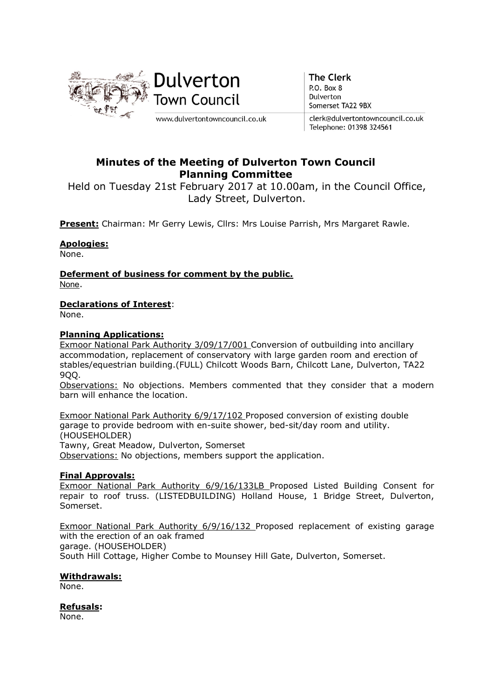

**The Clerk** P.O. Box 8 Dulverton Somerset TA22 9BX

clerk@dulvertontowncouncil.co.uk Telephone: 01398 324561

# Minutes of the Meeting of Dulverton Town Council Planning Committee

Held on Tuesday 21st February 2017 at 10.00am, in the Council Office, Lady Street, Dulverton.

Present: Chairman: Mr Gerry Lewis, Cllrs: Mrs Louise Parrish, Mrs Margaret Rawle.

## Apologies:

None.

Deferment of business for comment by the public. None.

## Declarations of Interest:

None.

## Planning Applications:

Exmoor National Park Authority 3/09/17/001 Conversion of outbuilding into ancillary accommodation, replacement of conservatory with large garden room and erection of stables/equestrian building.(FULL) Chilcott Woods Barn, Chilcott Lane, Dulverton, TA22 9QQ.

Observations: No objections. Members commented that they consider that a modern barn will enhance the location.

Exmoor National Park Authority 6/9/17/102 Proposed conversion of existing double garage to provide bedroom with en-suite shower, bed-sit/day room and utility. (HOUSEHOLDER)

Tawny, Great Meadow, Dulverton, Somerset Observations: No objections, members support the application.

## Final Approvals:

Exmoor National Park Authority 6/9/16/133LB Proposed Listed Building Consent for repair to roof truss. (LISTEDBUILDING) Holland House, 1 Bridge Street, Dulverton, Somerset.

Exmoor National Park Authority 6/9/16/132 Proposed replacement of existing garage with the erection of an oak framed garage. (HOUSEHOLDER) South Hill Cottage, Higher Combe to Mounsey Hill Gate, Dulverton, Somerset.

## Withdrawals:

None.

## Refusals:

None.